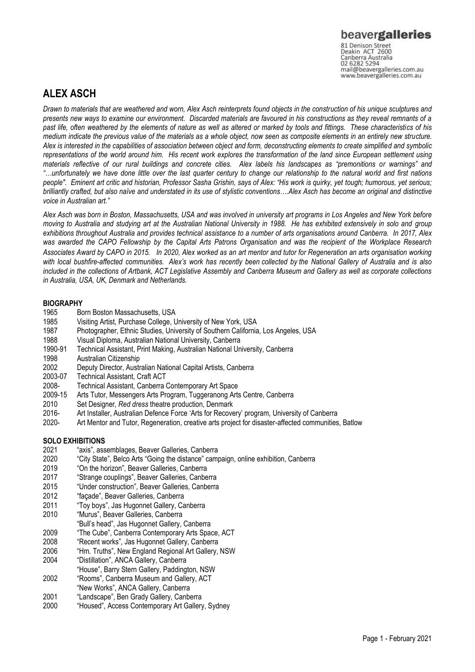Canberra Australia 02 6282 5294 mail@beavergalleries.com.au www.beavergalleries.com.au

# **ALEX ASCH**

*Drawn to materials that are weathered and worn, Alex Asch reinterprets found objects in the construction of his unique sculptures and presents new ways to examine our environment. Discarded materials are favoured in his constructions as they reveal remnants of a past life, often weathered by the elements of nature as well as altered or marked by tools and fittings. These characteristics of his medium indicate the previous value of the materials as a whole object, now seen as composite elements in an entirely new structure. Alex is interested in the capabilities of association between object and form, deconstructing elements to create simplified and symbolic representations of the world around him. His recent work explores the transformation of the land since European settlement using materials reflective of our rural buildings and concrete cities. Alex labels his landscapes as "premonitions or warnings" and "…unfortunately we have done little over the last quarter century to change our relationship to the natural world and first nations people". Eminent art critic and historian, Professor Sasha Grishin, says of Alex: "His work is quirky, yet tough; humorous, yet serious; brilliantly crafted, but also naïve and understated in its use of stylistic conventions….Alex Asch has become an original and distinctive voice in Australian art."*

*Alex Asch was born in Boston, Massachusetts, USA and was involved in university art programs in Los Angeles and New York before moving to Australia and studying art at the Australian National University in 1988. He has exhibited extensively in solo and group exhibitions throughout Australia and provides technical assistance to a number of arts organisations around Canberra. In 2017, Alex was awarded the CAPO Fellowship by the Capital Arts Patrons Organisation and was the recipient of the Workplace Research Associates Award by CAPO in 2015. In 2020, Alex worked as an art mentor and tutor for Regeneration an arts organisation working with local bushfire-affected communities. Alex's work has recently been collected by the National Gallery of Australia and is also included in the collections of Artbank, ACT Legislative Assembly and Canberra Museum and Gallery as well as corporate collections in Australia, USA, UK, Denmark and Netherlands.*

## **BIOGRAPHY**

- 1965 Born Boston Massachusetts, USA<br>1985 Visiting Artist, Purchase College, U
- 1985 Visiting Artist, Purchase College, University of New York, USA<br>1987 Photographer, Ethnic Studies, University of Southern California
- Photographer, Ethnic Studies, University of Southern California, Los Angeles, USA
- 1988 Visual Diploma, Australian National University, Canberra
- 1990-91 Technical Assistant, Print Making, Australian National University, Canberra
- 1998 Australian Citizenship
- 2002 Deputy Director, Australian National Capital Artists, Canberra
- 2003-07 Technical Assistant, Craft ACT
- 2008- Technical Assistant, Canberra Contemporary Art Space
- 2009-15 Arts Tutor, Messengers Arts Program, Tuggeranong Arts Centre, Canberra
- 2010 Set Designer*, Red dress* theatre production, Denmark
- 2016- Art Installer, Australian Defence Force 'Arts for Recovery' program, University of Canberra
- 2020- Art Mentor and Tutor, Regeneration, creative arts project for disaster-affected communities, Batlow

### **SOLO EXHIBITIONS**

- 2021 "axis", assemblages, Beaver Galleries, Canberra
- 2020 "City State", Belco Arts "Going the distance" campaign, online exhibition, Canberra
- 2019 "On the horizon", Beaver Galleries, Canberra
- 2017 "Strange couplings", Beaver Galleries, Canberra
- 2015 "Under construction", Beaver Galleries, Canberra
- 2012 "façade", Beaver Galleries, Canberra
- "Toy boys", Jas Hugonnet Gallery, Canberra
- 2010 "Murus", Beaver Galleries, Canberra
- "Bull's head", Jas Hugonnet Gallery, Canberra
- 2009 "The Cube", Canberra Contemporary Arts Space, ACT
- 2008 "Recent works", Jas Hugonnet Gallery, Canberra
- 2006 "Hm. Truths", New England Regional Art Gallery, NSW
- 2004 "Distillation", ANCA Gallery, Canberra
- "House", Barry Stern Gallery, Paddington, NSW
- 2002 "Rooms", Canberra Museum and Gallery, ACT
- "New Works", ANCA Gallery, Canberra
- 2001 "Landscape", Ben Grady Gallery, Canberra
- 2000 "Housed", Access Contemporary Art Gallery, Sydney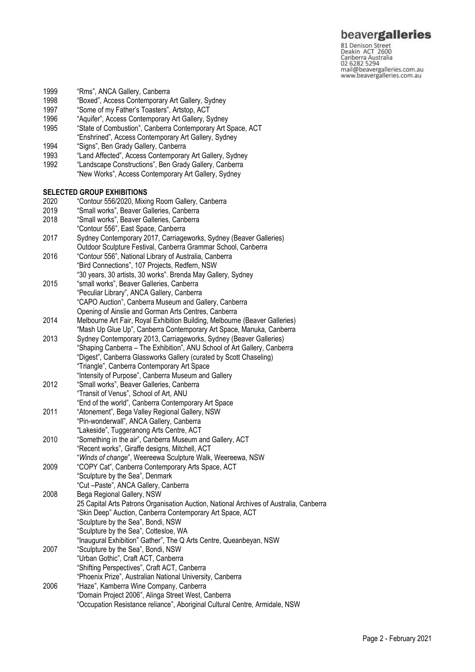## beavergalleries

81 Denison Street<br>Deakin ACT 2600 Canberra Australia 02 6282 5294 mail@beavergalleries.com.au www.beavergalleries.com.au

- 1999 "Rms", ANCA Gallery, Canberra<br>1998 "Boxed", Access Contemporary
- 1998 "Boxed", Access Contemporary Art Gallery, Sydney<br>1997 "Some of my Father's Toasters". Artstop. ACT
- 1997 "Some of my Father's Toasters", Artstop, ACT<br>1996 "Aquifer", Access Contemporary Art Gallery, S
- "Aquifer", Access Contemporary Art Gallery, Sydney
- 1995 "State of Combustion", Canberra Contemporary Art Space, ACT
- "Enshrined", Access Contemporary Art Gallery, Sydney<br>1994 "Signs", Ben Grady Gallery, Canberra
- 1994 "Signs", Ben Grady Gallery, Canberra<br>1993 "Land Affected". Access Contemporar
- 1993 "Land Affected", Access Contemporary Art Gallery, Sydney<br>1992 "I andscape Constructions". Ben Grady Gallery. Canberra
- "Landscape Constructions", Ben Grady Gallery, Canberra "New Works", Access Contemporary Art Gallery, Sydney

#### **SELECTED GROUP EXHIBITIONS**

- 2020 "Contour 556/2020, Mixing Room Gallery, Canberra
- 2019 "Small works", Beaver Galleries, Canberra
- 2018 "Small works", Beaver Galleries, Canberra
- "Contour 556", East Space, Canberra
- 2017 Sydney Contemporary 2017, Carriageworks, Sydney (Beaver Galleries) Outdoor Sculpture Festival, Canberra Grammar School, Canberra
- 2016 "Contour 556", National Library of Australia, Canberra "Bird Connections", 107 Projects, Redfern, NSW "30 years, 30 artists, 30 works". Brenda May Gallery, Sydney
- 2015 "small works", Beaver Galleries, Canberra "Peculiar Library", ANCA Gallery, Canberra "CAPO Auction", Canberra Museum and Gallery, Canberra Opening of Ainslie and Gorman Arts Centres, Canberra
- 2014 Melbourne Art Fair, Royal Exhibition Building, Melbourne (Beaver Galleries)
- "Mash Up Glue Up", Canberra Contemporary Art Space, Manuka, Canberra
- 2013 Sydney Contemporary 2013, Carriageworks, Sydney (Beaver Galleries) "Shaping Canberra – The Exhibition", ANU School of Art Gallery, Canberra "Digest", Canberra Glassworks Gallery (curated by Scott Chaseling) "Triangle", Canberra Contemporary Art Space "Intensity of Purpose", Canberra Museum and Gallery
- 2012 "Small works", Beaver Galleries, Canberra
- "Transit of Venus", School of Art, ANU
- "End of the world", Canberra Contemporary Art Space
- 2011 "Atonement", Bega Valley Regional Gallery, NSW
- "Pin-wonderwall", ANCA Gallery, Canberra "Lakeside", Tuggeranong Arts Centre, ACT
- 2010 "Something in the air", Canberra Museum and Gallery, ACT "Recent works", Giraffe designs, Mitchell, ACT
- "*Winds of change*", Weereewa Sculpture Walk, Weereewa, NSW
- "COPY Cat", Canberra Contemporary Arts Space, ACT "Sculpture by the Sea", Denmark "Cut –Paste", ANCA Gallery, Canberra
- 2008 Bega Regional Gallery, NSW 25 Capital Arts Patrons Organisation Auction, National Archives of Australia, Canberra "Skin Deep" Auction, Canberra Contemporary Art Space, ACT "Sculpture by the Sea", Bondi, NSW "Sculpture by the Sea", Cottesloe, WA "Inaugural Exhibition" Gather", The Q Arts Centre, Queanbeyan, NSW 2007 "Sculpture by the Sea", Bondi, NSW "Urban Gothic", Craft ACT, Canberra "Shifting Perspectives", Craft ACT, Canberra "Phoenix Prize", Australian National University, Canberra
- 2006 "Haze", Kamberra Wine Company, Canberra "Domain Project 2006", Alinga Street West, Canberra "Occupation Resistance reliance", Aboriginal Cultural Centre, Armidale, NSW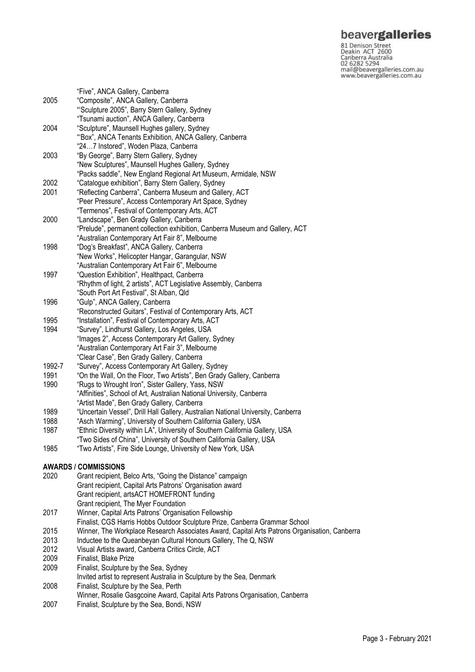# beavergalleries

81 Denison Street<br>
81 Denison Street<br>
Deakin ACT 2600<br>
Canberra Australia<br>
02 6282 5294<br>
mail@beavergalleries.com.au<br>
www.beavergalleries.com.au

|        | "Five", ANCA Gallery, Canberra                                                               |
|--------|----------------------------------------------------------------------------------------------|
| 2005   | "Composite", ANCA Gallery, Canberra                                                          |
|        | "Sculpture 2005", Barry Stern Gallery, Sydney                                                |
|        | "Tsunami auction", ANCA Gallery, Canberra                                                    |
| 2004   | "Sculpture", Maunsell Hughes gallery, Sydney                                                 |
|        | "Box", ANCA Tenants Exhibition, ANCA Gallery, Canberra                                       |
|        | "247 Instored", Woden Plaza, Canberra                                                        |
| 2003   | "By George", Barry Stern Gallery, Sydney                                                     |
|        | "New Sculptures", Maunsell Hughes Gallery, Sydney                                            |
|        | "Packs saddle", New England Regional Art Museum, Armidale, NSW                               |
| 2002   | "Catalogue exhibition", Barry Stern Gallery, Sydney                                          |
| 2001   | "Reflecting Canberra", Canberra Museum and Gallery, ACT                                      |
|        | "Peer Pressure", Access Contemporary Art Space, Sydney                                       |
|        | "Termenos", Festival of Contemporary Arts, ACT                                               |
| 2000   | "Landscape", Ben Grady Gallery, Canberra                                                     |
|        | "Prelude", permanent collection exhibition, Canberra Museum and Gallery, ACT                 |
|        | "Australian Contemporary Art Fair 8", Melbourne                                              |
| 1998   | "Dog's Breakfast", ANCA Gallery, Canberra                                                    |
|        | "New Works", Helicopter Hangar, Garangular, NSW                                              |
|        | "Australian Contemporary Art Fair 6", Melbourne                                              |
| 1997   | "Question Exhibition", Healthpact, Canberra                                                  |
|        | "Rhythm of light, 2 artists", ACT Legislative Assembly, Canberra                             |
|        | "South Port Art Festival", St Alban, Qld                                                     |
| 1996   | "Gulp", ANCA Gallery, Canberra                                                               |
|        | "Reconstructed Guitars", Festival of Contemporary Arts, ACT                                  |
| 1995   | "Installation", Festival of Contemporary Arts, ACT                                           |
| 1994   | "Survey", Lindhurst Gallery, Los Angeles, USA                                                |
|        | "Images 2", Access Contemporary Art Gallery, Sydney                                          |
|        | "Australian Contemporary Art Fair 3", Melbourne                                              |
|        | "Clear Case", Ben Grady Gallery, Canberra                                                    |
| 1992-7 | "Survey", Access Contemporary Art Gallery, Sydney                                            |
| 1991   | "On the Wall, On the Floor, Two Artists", Ben Grady Gallery, Canberra                        |
| 1990   | "Rugs to Wrought Iron", Sister Gallery, Yass, NSW                                            |
|        | "Affinities", School of Art, Australian National University, Canberra                        |
|        | "Artist Made", Ben Grady Gallery, Canberra                                                   |
| 1989   | "Uncertain Vessel", Drill Hall Gallery, Australian National University, Canberra             |
| 1988   | "Asch Warming", University of Southern California Gallery, USA                               |
| 1987   | "Ethnic Diversity within LA", University of Southern California Gallery, USA                 |
|        | "Two Sides of China", University of Southern California Gallery, USA                         |
| 1985   | "Two Artists", Fire Side Lounge, University of New York, USA                                 |
|        | <b>AWARDS / COMMISSIONS</b>                                                                  |
| 2020   | Grant recipient, Belco Arts, "Going the Distance" campaign                                   |
|        | Grant recipient, Capital Arts Patrons' Organisation award                                    |
|        | Grant recipient, artsACT HOMEFRONT funding                                                   |
|        | Grant recipient, The Myer Foundation                                                         |
| 2017   | Winner, Capital Arts Patrons' Organisation Fellowship                                        |
|        | Finalist, CGS Harris Hobbs Outdoor Sculpture Prize, Canberra Grammar School                  |
| 2015   | Winner, The Workplace Research Associates Award, Capital Arts Patrons Organisation, Canberra |
| 2013   | Inductee to the Queanbeyan Cultural Honours Gallery, The Q, NSW                              |
| 2012   | Visual Artists award, Canberra Critics Circle, ACT                                           |
| 0000   |                                                                                              |

- 2009 Finalist, Blake Prize
- Finalist, Sculpture by the Sea, Sydney
- Invited artist to represent Australia in Sculpture by the Sea, Denmark<br>2008 Finalist, Sculpture by the Sea, Perth
- Finalist, Sculpture by the Sea, Perth
- Winner, Rosalie Gasgcoine Award, Capital Arts Patrons Organisation, Canberra<br>2007 – Finalist, Sculpture by the Sea, Bondi, NSW
- Finalist, Sculpture by the Sea, Bondi, NSW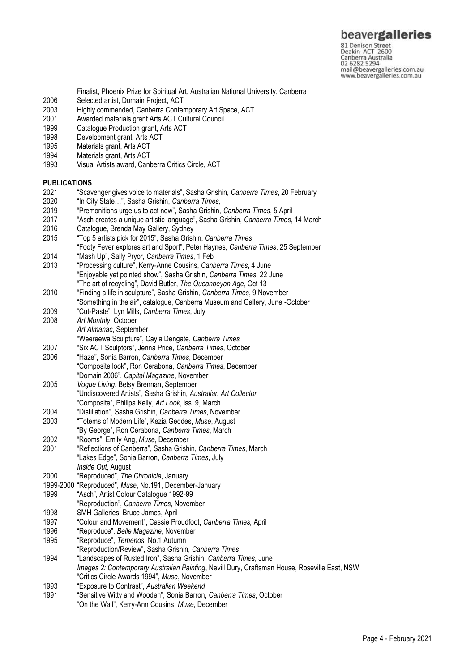## beavergalleries

81 Denison Street<br>Deakin ACT 2600 Canberra Australia 02 6282 5294 mail@beavergalleries.com.au www.beavergalleries.com.au

Finalist, Phoenix Prize for Spiritual Art, Australian National University, Canberra

- 2006 Selected artist, Domain Project, ACT
- 2003 Highly commended, Canberra Contemporary Art Space, ACT
- Awarded materials grant Arts ACT Cultural Council
- 1999 Catalogue Production grant, Arts ACT<br>1998 Development grant, Arts ACT
- 1998 Development grant, Arts ACT<br>1995 Materials grant, Arts ACT
- Materials grant, Arts ACT
- 1994 Materials grant, Arts ACT<br>1993 Visual Artists award, Cant
- Visual Artists award, Canberra Critics Circle, ACT

#### **PUBLICATIONS**

- 2021 "Scavenger gives voice to materials", Sasha Grishin, *Canberra Times*, 20 February
- 2020 "In City State…", Sasha Grishin, *Canberra Times,*
- 2019 "Premonitions urge us to act now", Sasha Grishin, *Canberra Times*, 5 April
- 2017 "Asch creates a unique artistic language", Sasha Grishin, *Canberra Times*, 14 March
- 2016 Catalogue, Brenda May Gallery, Sydney<br>2015 "Top 5 artists pick for 2015". Sasha Grish
- 2015 "Top 5 artists pick for 2015", Sasha Grishin, *Canberra Times*
- "Footy Fever explores art and Sport", Peter Haynes, *Canberra Times*, 25 September
- 2014 "Mash Up", Sally Pryor, *Canberra Times*, 1 Feb
- 2013 "Processing culture", Kerry-Anne Cousins, *Canberra Times*, 4 June "Enjoyable yet pointed show", Sasha Grishin, *Canberra Times*, 22 June "The art of recycling", David Butler, *The Queanbeyan Age*, Oct 13
- 2010 "Finding a life in sculpture", Sasha Grishin, *Canberra Times*, 9 November "Something in the air", catalogue, Canberra Museum and Gallery, June -October
- 2009 "Cut-Paste", Lyn Mills, *Canberra Times*, July
- 2008 *Art Monthly*, October
- *Art Almanac*, September
- "Weereewa Sculpture", Cayla Dengate, *Canberra Times*
- 2007 "Six ACT Sculptors", Jenna Price, *Canberra Times*, October
- 2006 "Haze", Sonia Barron, *Canberra Times*, December "Composite look", Ron Cerabona*, Canberra Times*, December "Domain 2006", *Capital Magazine*, November
- 2005 *Vogue Living*, Betsy Brennan, September "Undiscovered Artists", Sasha Grishin, *Australian Art Collector*
- "Composite", Philipa Kelly, *Art Look*, iss. 9, March
- 2004 "Distillation", Sasha Grishin, *Canberra Times*, November
- 2003 "Totems of Modern Life", Kezia Geddes, *Muse*, August
- "By George", Ron Cerabona, *Canberra Times*, March
- 2002 "Rooms", Emily Ang, *Muse*, December
- 2001 "Reflections of Canberra", Sasha Grishin, *Canberra Times*, March "Lakes Edge", Sonia Barron, *Canberra Times*, July *Inside Out*, August<br>
2000 **PREDICAL PREDICACE**
- 2000 "Reproduced", *The Chronicle*, January
- 1999-2000 "Reproduced", *Muse*, No.191, December-January
- 1999 "Asch", Artist Colour Catalogue 1992-99
- "Reproduction", *Canberra Times*, November
- 1998 SMH Galleries, Bruce James, April
- 1997 "Colour and Movement", Cassie Proudfoot, *Canberra Times,* April
- 1996 "Reproduce", *Belle Magazine*, November
- 1995 "Reproduce", *Temenos*, No.1 Autumn
- "Reproduction/Review", Sasha Grishin, *Canberra Times*
- 1994 "Landscapes of Rusted Iron", Sasha Grishin, *Canberra Times*, June
- *Images 2: Contemporary Australian Painting*, Nevill Dury, Craftsman House, Roseville East, NSW "Critics Circle Awards 1994", *Muse*, November
- 1993 "Exposure to Contrast", *Australian Weekend*
- 1991 "Sensitive Witty and Wooden", Sonia Barron, *Canberra Times*, October "On the Wall", Kerry-Ann Cousins, *Muse*, December